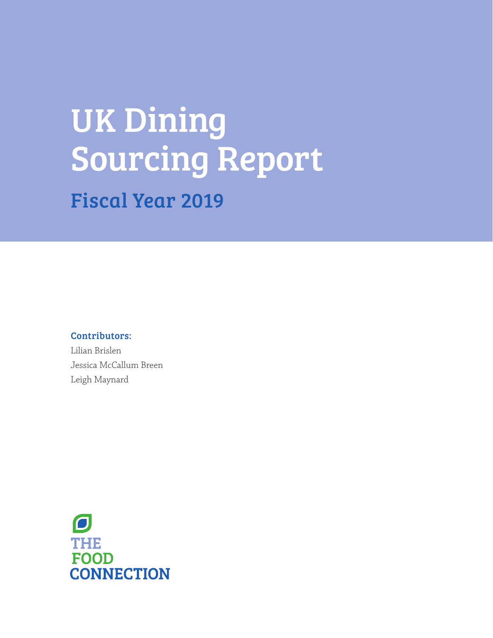# UK Dining Sourcing Report Fiscal Year 2019

## Contributors:

Lilian Brislen Jessica McCallum Breen Leigh Maynard

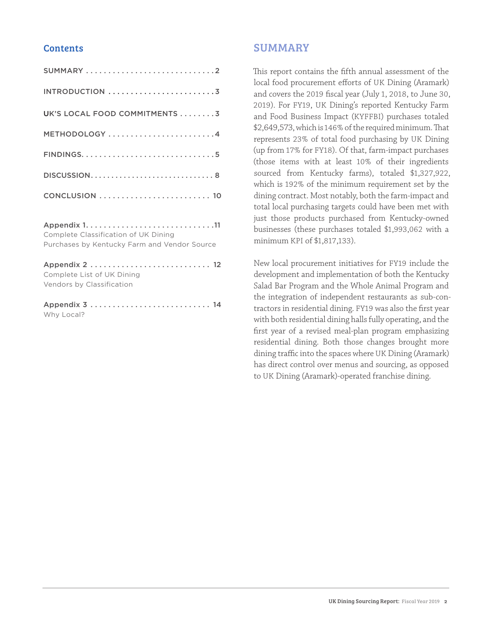## **Contents**

| UK'S LOCAL FOOD COMMITMENTS 3                                                        |
|--------------------------------------------------------------------------------------|
| METHODOLOGY 4                                                                        |
|                                                                                      |
| DISCUSSION8                                                                          |
|                                                                                      |
| Complete Classification of UK Dining<br>Purchases by Kentucky Farm and Vendor Source |
| Complete List of UK Dining<br>Vendors by Classification                              |
| Why Local?                                                                           |

## SUMMARY

This report contains the fifth annual assessment of the local food procurement efforts of UK Dining (Aramark) and covers the 2019 fiscal year (July 1, 2018, to June 30, 2019). For FY19, UK Dining's reported Kentucky Farm and Food Business Impact (KYFFBI) purchases totaled \$2,649,573, which is 146% of the required minimum. That represents 23% of total food purchasing by UK Dining (up from 17% for FY18). Of that, farm-impact purchases (those items with at least 10% of their ingredients sourced from Kentucky farms), totaled \$1,327,922, which is 192% of the minimum requirement set by the dining contract. Most notably, both the farm-impact and total local purchasing targets could have been met with just those products purchased from Kentucky-owned businesses (these purchases totaled \$1,993,062 with a minimum KPI of \$1,817,133).

New local procurement initiatives for FY19 include the development and implementation of both the Kentucky Salad Bar Program and the Whole Animal Program and the integration of independent restaurants as sub-contractors in residential dining. FY19 was also the first year with both residential dining halls fully operating, and the first year of a revised meal-plan program emphasizing residential dining. Both those changes brought more dining traffic into the spaces where UK Dining (Aramark) has direct control over menus and sourcing, as opposed to UK Dining (Aramark)-operated franchise dining.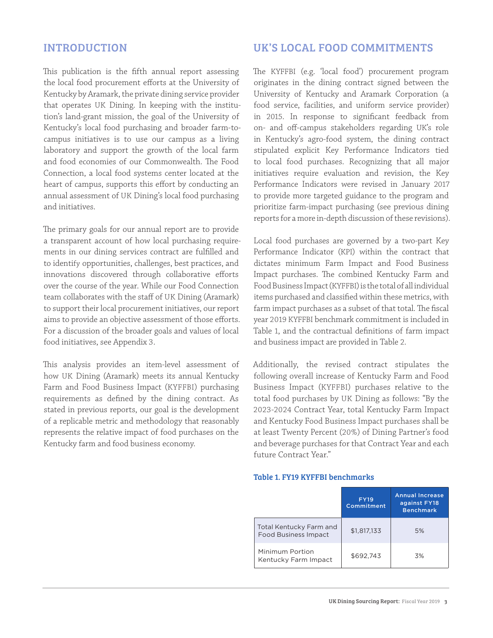## <span id="page-2-0"></span>INTRODUCTION

This publication is the fifth annual report assessing the local food procurement efforts at the University of Kentucky by Aramark, the private dining service provider that operates UK Dining. In keeping with the institution's land-grant mission, the goal of the University of Kentucky's local food purchasing and broader farm-tocampus initiatives is to use our campus as a living laboratory and support the growth of the local farm and food economies of our Commonwealth. The Food Connection, a local food systems center located at the heart of campus, supports this effort by conducting an annual assessment of UK Dining's local food purchasing and initiatives.

The primary goals for our annual report are to provide a transparent account of how local purchasing requirements in our dining services contract are fulfilled and to identify opportunities, challenges, best practices, and innovations discovered through collaborative efforts over the course of the year. While our Food Connection team collaborates with the staff of UK Dining (Aramark) to support their local procurement initiatives, our report aims to provide an objective assessment of those efforts. For a discussion of the broader goals and values of local food initiatives, see Appendix 3.

This analysis provides an item-level assessment of how UK Dining (Aramark) meets its annual Kentucky Farm and Food Business Impact (KYFFBI) purchasing requirements as defined by the dining contract. As stated in previous reports, our goal is the development of a replicable metric and methodology that reasonably represents the relative impact of food purchases on the Kentucky farm and food business economy.

## UK'S LOCAL FOOD COMMITMENTS

The KYFFBI (e.g. 'local food') procurement program originates in the dining contract signed between the University of Kentucky and Aramark Corporation (a food service, facilities, and uniform service provider) in 2015. In response to significant feedback from on- and off-campus stakeholders regarding UK's role in Kentucky's agro-food system, the dining contract stipulated explicit Key Performance Indicators tied to local food purchases. Recognizing that all major initiatives require evaluation and revision, the Key Performance Indicators were revised in January 2017 to provide more targeted guidance to the program and prioritize farm-impact purchasing (see previous dining reports for a more in-depth discussion of these revisions).

Local food purchases are governed by a two-part Key Performance Indicator (KPI) within the contract that dictates minimum Farm Impact and Food Business Impact purchases. The combined Kentucky Farm and Food Business Impact (KYFFBI) is the total of all individual items purchased and classified within these metrics, with farm impact purchases as a subset of that total. The fiscal year 2019 KYFFBI benchmark commitment is included in Table 1, and the contractual definitions of farm impact and business impact are provided in Table 2.

Additionally, the revised contract stipulates the following overall increase of Kentucky Farm and Food Business Impact (KYFFBI) purchases relative to the total food purchases by UK Dining as follows: "By the 2023-2024 Contract Year, total Kentucky Farm Impact and Kentucky Food Business Impact purchases shall be at least Twenty Percent (20%) of Dining Partner's food and beverage purchases for that Contract Year and each future Contract Year."

#### Table 1. FY19 KYFFBI benchmarks

|                                                        | <b>FY19</b><br>Commitment | <b>Annual Increase</b><br>against FY18<br><b>Benchmark</b> |
|--------------------------------------------------------|---------------------------|------------------------------------------------------------|
| Total Kentucky Farm and<br><b>Food Business Impact</b> | \$1,817,133               | 5%                                                         |
| Minimum Portion<br>Kentucky Farm Impact                | \$692.743                 | 3%                                                         |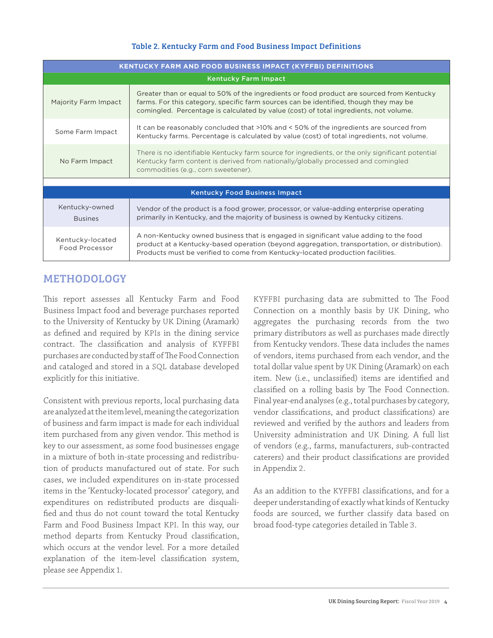### Table 2. Kentucky Farm and Food Business Impact Definitions

<span id="page-3-0"></span>

| <b>KENTUCKY FARM AND FOOD BUSINESS IMPACT (KYFFBI) DEFINITIONS</b> |                                                                                                                                                                                                                                                                             |  |  |  |  |  |
|--------------------------------------------------------------------|-----------------------------------------------------------------------------------------------------------------------------------------------------------------------------------------------------------------------------------------------------------------------------|--|--|--|--|--|
|                                                                    | <b>Kentucky Farm Impact</b>                                                                                                                                                                                                                                                 |  |  |  |  |  |
| Majority Farm Impact                                               | Greater than or equal to 50% of the ingredients or food product are sourced from Kentucky<br>farms. For this category, specific farm sources can be identified, though they may be<br>comingled. Percentage is calculated by value (cost) of total ingredients, not volume. |  |  |  |  |  |
| Some Farm Impact                                                   | It can be reasonably concluded that >10% and < 50% of the ingredients are sourced from<br>Kentucky farms. Percentage is calculated by value (cost) of total ingredients, not volume.                                                                                        |  |  |  |  |  |
| No Farm Impact                                                     | There is no identifiable Kentucky farm source for ingredients, or the only significant potential<br>Kentucky farm content is derived from nationally/globally processed and comingled<br>commodities (e.g., corn sweetener).                                                |  |  |  |  |  |
|                                                                    |                                                                                                                                                                                                                                                                             |  |  |  |  |  |
|                                                                    | <b>Kentucky Food Business Impact</b>                                                                                                                                                                                                                                        |  |  |  |  |  |
| Kentucky-owned<br><b>Busines</b>                                   | Vendor of the product is a food grower, processor, or value-adding enterprise operating<br>primarily in Kentucky, and the majority of business is owned by Kentucky citizens.                                                                                               |  |  |  |  |  |
| Kentucky-located<br>Food Processor                                 | A non-Kentucky owned business that is engaged in significant value adding to the food<br>product at a Kentucky-based operation (beyond aggregation, transportation, or distribution).<br>Products must be verified to come from Kentucky-located production facilities.     |  |  |  |  |  |

## METHODOLOGY

This report assesses all Kentucky Farm and Food Business Impact food and beverage purchases reported to the University of Kentucky by UK Dining (Aramark) as defined and required by KPIs in the dining service contract. The classification and analysis of KYFFBI purchases are conducted by staff of The Food Connection and cataloged and stored in a SQL database developed explicitly for this initiative.

Consistent with previous reports, local purchasing data are analyzed at the item level, meaning the categorization of business and farm impact is made for each individual item purchased from any given vendor. This method is key to our assessment, as some food businesses engage in a mixture of both in-state processing and redistribution of products manufactured out of state. For such cases, we included expenditures on in-state processed items in the 'Kentucky-located processor' category, and expenditures on redistributed products are disqualified and thus do not count toward the total Kentucky Farm and Food Business Impact KPI. In this way, our method departs from Kentucky Proud classification, which occurs at the vendor level. For a more detailed explanation of the item-level classification system, please see Appendix 1.

KYFFBI purchasing data are submitted to The Food Connection on a monthly basis by UK Dining, who aggregates the purchasing records from the two primary distributors as well as purchases made directly from Kentucky vendors. These data includes the names of vendors, items purchased from each vendor, and the total dollar value spent by UK Dining (Aramark) on each item. New (i.e., unclassified) items are identified and classified on a rolling basis by The Food Connection. Final year-end analyses (e.g., total purchases by category, vendor classifications, and product classifications) are reviewed and verified by the authors and leaders from University administration and UK Dining. A full list of vendors (e.g., farms, manufacturers, sub-contracted caterers) and their product classifications are provided in Appendix 2.

As an addition to the KYFFBI classifications, and for a deeper understanding of exactly what kinds of Kentucky foods are sourced, we further classify data based on broad food-type categories detailed in Table 3.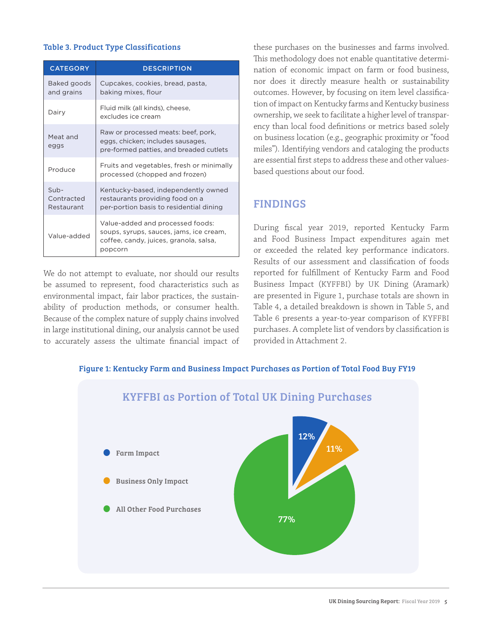#### <span id="page-4-0"></span>Table 3. Product Type Classifications

| <b>CATEGORY</b>                     | <b>DESCRIPTION</b>                                                                                                               |
|-------------------------------------|----------------------------------------------------------------------------------------------------------------------------------|
| Baked goods<br>and grains           | Cupcakes, cookies, bread, pasta,<br>baking mixes, flour                                                                          |
| Dairy                               | Fluid milk (all kinds), cheese,<br>excludes ice cream                                                                            |
| Meat and<br>eggs                    | Raw or processed meats: beef, pork,<br>eggs, chicken; includes sausages,<br>pre-formed patties, and breaded cutlets              |
| Produce                             | Fruits and vegetables, fresh or minimally<br>processed (chopped and frozen)                                                      |
| $Sub -$<br>Contracted<br>Restaurant | Kentucky-based, independently owned<br>restaurants providing food on a<br>per-portion basis to residential dining                |
| Value-added                         | Value-added and processed foods:<br>soups, syrups, sauces, jams, ice cream,<br>coffee, candy, juices, granola, salsa,<br>popcorn |

We do not attempt to evaluate, nor should our results be assumed to represent, food characteristics such as environmental impact, fair labor practices, the sustainability of production methods, or consumer health. Because of the complex nature of supply chains involved in large institutional dining, our analysis cannot be used to accurately assess the ultimate financial impact of

these purchases on the businesses and farms involved. This methodology does not enable quantitative determination of economic impact on farm or food business, nor does it directly measure health or sustainability outcomes. However, by focusing on item level classification of impact on Kentucky farms and Kentucky business ownership, we seek to facilitate a higher level of transparency than local food definitions or metrics based solely on business location (e.g., geographic proximity or "food miles"). Identifying vendors and cataloging the products are essential first steps to address these and other valuesbased questions about our food.

## FINDINGS

During fiscal year 2019, reported Kentucky Farm and Food Business Impact expenditures again met or exceeded the related key performance indicators. Results of our assessment and classification of foods reported for fulfillment of Kentucky Farm and Food Business Impact (KYFFBI) by UK Dining (Aramark) are presented in Figure 1, purchase totals are shown in Table 4, a detailed breakdown is shown in Table 5, and Table 6 presents a year-to-year comparison of KYFFBI purchases. A complete list of vendors by classification is provided in Attachment 2.

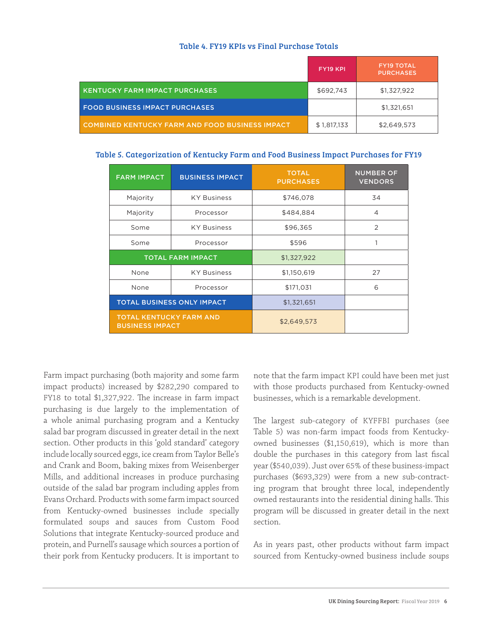#### Table 4. FY19 KPIs vs Final Purchase Totals

|                                                 | <b>FY19 KPI</b> | <b>FY19 TOTAL</b><br><b>PURCHASES</b> |
|-------------------------------------------------|-----------------|---------------------------------------|
| <b>KENTUCKY FARM IMPACT PURCHASES</b>           | \$692.743       | \$1,327,922                           |
| <b>FOOD BUSINESS IMPACT PURCHASES</b>           |                 | \$1,321,651                           |
| COMBINED KENTUCKY FARM AND FOOD BUSINESS IMPACT | \$1,817,133     | \$2,649,573                           |

#### Table 5. Categorization of Kentucky Farm and Food Business Impact Purchases for FY19

| <b>FARM IMPACT</b>                                       | <b>BUSINESS IMPACT</b>            | <b>TOTAL</b><br><b>PURCHASES</b> | <b>NUMBER OF</b><br><b>VENDORS</b> |
|----------------------------------------------------------|-----------------------------------|----------------------------------|------------------------------------|
| Majority                                                 | <b>KY Business</b>                | \$746,078                        | 34                                 |
| Majority                                                 | Processor                         | \$484,884                        | 4                                  |
| Some                                                     | <b>KY Business</b>                | \$96,365                         | 2                                  |
| Some                                                     | Processor                         | \$596                            | 1                                  |
| <b>TOTAL FARM IMPACT</b>                                 |                                   | \$1,327,922                      |                                    |
| None                                                     | <b>KY Business</b>                | \$1,150,619                      | 27                                 |
| None                                                     | Processor                         | \$171,031                        | 6                                  |
|                                                          | <b>TOTAL BUSINESS ONLY IMPACT</b> | \$1,321,651                      |                                    |
| <b>TOTAL KENTUCKY FARM AND</b><br><b>BUSINESS IMPACT</b> |                                   | \$2,649,573                      |                                    |

Farm impact purchasing (both majority and some farm impact products) increased by \$282,290 compared to FY18 to total \$1,327,922. The increase in farm impact purchasing is due largely to the implementation of a whole animal purchasing program and a Kentucky salad bar program discussed in greater detail in the next section. Other products in this 'gold standard' category include locally sourced eggs, ice cream from Taylor Belle's and Crank and Boom, baking mixes from Weisenberger Mills, and additional increases in produce purchasing outside of the salad bar program including apples from Evans Orchard. Products with some farm impact sourced from Kentucky-owned businesses include specially formulated soups and sauces from Custom Food Solutions that integrate Kentucky-sourced produce and protein, and Purnell's sausage which sources a portion of their pork from Kentucky producers. It is important to

note that the farm impact KPI could have been met just with those products purchased from Kentucky-owned businesses, which is a remarkable development.

The largest sub-category of KYFFBI purchases (see Table 5) was non-farm impact foods from Kentuckyowned businesses (\$1,150,619), which is more than double the purchases in this category from last fiscal year (\$540,039). Just over 65% of these business-impact purchases (\$693,329) were from a new sub-contracting program that brought three local, independently owned restaurants into the residential dining halls. This program will be discussed in greater detail in the next section.

As in years past, other products without farm impact sourced from Kentucky-owned business include soups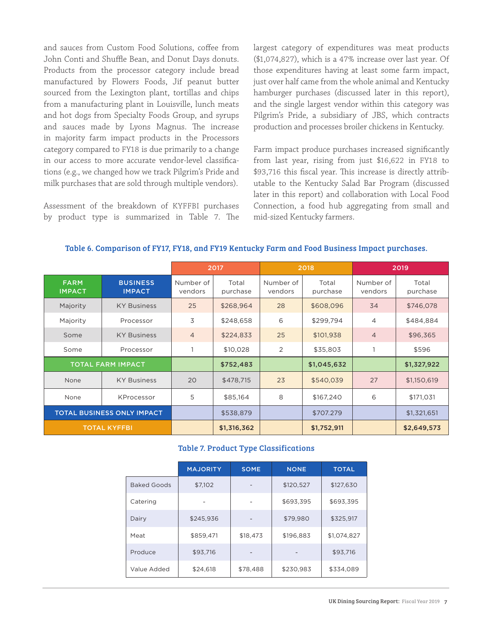and sauces from Custom Food Solutions, coffee from John Conti and Shuffle Bean, and Donut Days donuts. Products from the processor category include bread manufactured by Flowers Foods, Jif peanut butter sourced from the Lexington plant, tortillas and chips from a manufacturing plant in Louisville, lunch meats and hot dogs from Specialty Foods Group, and syrups and sauces made by Lyons Magnus. The increase in majority farm impact products in the Processors category compared to FY18 is due primarily to a change in our access to more accurate vendor-level classifications (e.g., we changed how we track Pilgrim's Pride and milk purchases that are sold through multiple vendors).

Assessment of the breakdown of KYFFBI purchases by product type is summarized in Table 7. The largest category of expenditures was meat products (\$1,074,827), which is a 47% increase over last year. Of those expenditures having at least some farm impact, just over half came from the whole animal and Kentucky hamburger purchases (discussed later in this report), and the single largest vendor within this category was Pilgrim's Pride, a subsidiary of JBS, which contracts production and processes broiler chickens in Kentucky.

Farm impact produce purchases increased significantly from last year, rising from just \$16,622 in FY18 to \$93,716 this fiscal year. This increase is directly attributable to the Kentucky Salad Bar Program (discussed later in this report) and collaboration with Local Food Connection, a food hub aggregating from small and mid-sized Kentucky farmers.

|                              |                                   |                      | 2017              |                      | 2018              |                      | 2019              |
|------------------------------|-----------------------------------|----------------------|-------------------|----------------------|-------------------|----------------------|-------------------|
| <b>FARM</b><br><b>IMPACT</b> | <b>BUSINESS</b><br><b>IMPACT</b>  | Number of<br>vendors | Total<br>purchase | Number of<br>vendors | Total<br>purchase | Number of<br>vendors | Total<br>purchase |
| Majority                     | <b>KY Business</b>                | 25                   | \$268,964         | 28                   | \$608,096         | 34                   | \$746,078         |
| Majority                     | Processor                         | 3                    | \$248,658         | 6                    | \$299,794         | $\overline{4}$       | \$484,884         |
| Some                         | <b>KY Business</b>                | $\overline{4}$       | \$224,833         | 25                   | \$101,938         | $\overline{4}$       | \$96,365          |
| Some                         | Processor                         |                      | \$10,028          | 2                    | \$35,803          |                      | \$596             |
|                              | <b>TOTAL FARM IMPACT</b>          |                      | \$752,483         |                      | \$1,045,632       |                      | \$1,327,922       |
| None                         | <b>KY Business</b>                | 20                   | \$478,715         | 23                   | \$540,039         | 27                   | \$1,150,619       |
| None                         | KProcessor                        | 5                    | \$85,164          | 8                    | \$167,240         | 6                    | \$171,031         |
|                              | <b>TOTAL BUSINESS ONLY IMPACT</b> |                      | \$538,879         |                      | \$707.279         |                      | \$1,321,651       |
|                              | <b>TOTAL KYFFBI</b>               |                      | \$1,316,362       |                      | \$1,752,911       |                      | \$2,649,573       |

#### Table 6. Comparison of FY17, FY18, and FY19 Kentucky Farm and Food Business Impact purchases.

#### Table 7. Product Type Classifications

|                    | <b>MAJORITY</b> | <b>SOME</b> | <b>NONE</b> | <b>TOTAL</b> |
|--------------------|-----------------|-------------|-------------|--------------|
| <b>Baked Goods</b> | \$7,102         |             | \$120,527   | \$127,630    |
| Catering           |                 |             | \$693.395   | \$693,395    |
| Dairy              | \$245.936       |             | \$79.980    | \$325,917    |
| Meat               | \$859,471       | \$18,473    | \$196,883   | \$1,074,827  |
| Produce            | \$93.716        |             |             | \$93,716     |
| Value Added        | \$24,618        | \$78,488    | \$230,983   | \$334,089    |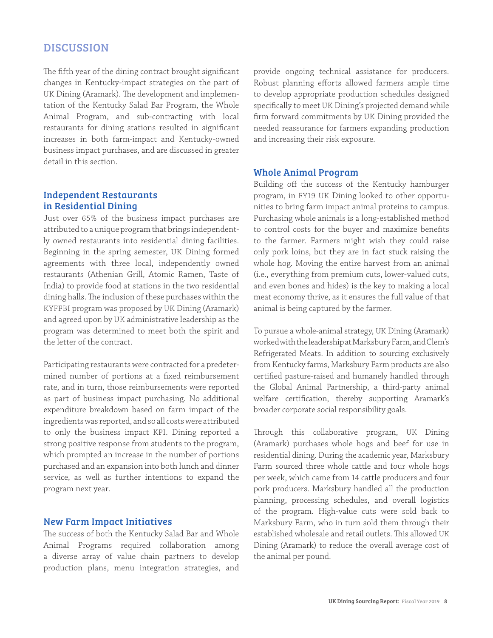## <span id="page-7-0"></span>**DISCUSSION**

The fifth year of the dining contract brought significant changes in Kentucky-impact strategies on the part of UK Dining (Aramark). The development and implementation of the Kentucky Salad Bar Program, the Whole Animal Program, and sub-contracting with local restaurants for dining stations resulted in significant increases in both farm-impact and Kentucky-owned business impact purchases, and are discussed in greater detail in this section.

## Independent Restaurants in Residential Dining

Just over 65% of the business impact purchases are attributed to a unique program that brings independently owned restaurants into residential dining facilities. Beginning in the spring semester, UK Dining formed agreements with three local, independently owned restaurants (Athenian Grill, Atomic Ramen, Taste of India) to provide food at stations in the two residential dining halls. The inclusion of these purchases within the KYFFBI program was proposed by UK Dining (Aramark) and agreed upon by UK administrative leadership as the program was determined to meet both the spirit and the letter of the contract.

Participating restaurants were contracted for a predetermined number of portions at a fixed reimbursement rate, and in turn, those reimbursements were reported as part of business impact purchasing. No additional expenditure breakdown based on farm impact of the ingredients was reported, and so all costs were attributed to only the business impact KPI. Dining reported a strong positive response from students to the program, which prompted an increase in the number of portions purchased and an expansion into both lunch and dinner service, as well as further intentions to expand the program next year.

### New Farm Impact Initiatives

The success of both the Kentucky Salad Bar and Whole Animal Programs required collaboration among a diverse array of value chain partners to develop production plans, menu integration strategies, and provide ongoing technical assistance for producers. Robust planning efforts allowed farmers ample time to develop appropriate production schedules designed specifically to meet UK Dining's projected demand while firm forward commitments by UK Dining provided the needed reassurance for farmers expanding production and increasing their risk exposure.

#### Whole Animal Program

Building off the success of the Kentucky hamburger program, in FY19 UK Dining looked to other opportunities to bring farm impact animal proteins to campus. Purchasing whole animals is a long-established method to control costs for the buyer and maximize benefits to the farmer. Farmers might wish they could raise only pork loins, but they are in fact stuck raising the whole hog. Moving the entire harvest from an animal (i.e., everything from premium cuts, lower-valued cuts, and even bones and hides) is the key to making a local meat economy thrive, as it ensures the full value of that animal is being captured by the farmer.

To pursue a whole-animal strategy, UK Dining (Aramark) worked with the leadership at Marksbury Farm, and Clem's Refrigerated Meats. In addition to sourcing exclusively from Kentucky farms, Marksbury Farm products are also certified pasture-raised and humanely handled through the Global Animal Partnership, a third-party animal welfare certification, thereby supporting Aramark's broader corporate social responsibility goals.

Through this collaborative program, UK Dining (Aramark) purchases whole hogs and beef for use in residential dining. During the academic year, Marksbury Farm sourced three whole cattle and four whole hogs per week, which came from 14 cattle producers and four pork producers. Marksbury handled all the production planning, processing schedules, and overall logistics of the program. High-value cuts were sold back to Marksbury Farm, who in turn sold them through their established wholesale and retail outlets. This allowed UK Dining (Aramark) to reduce the overall average cost of the animal per pound.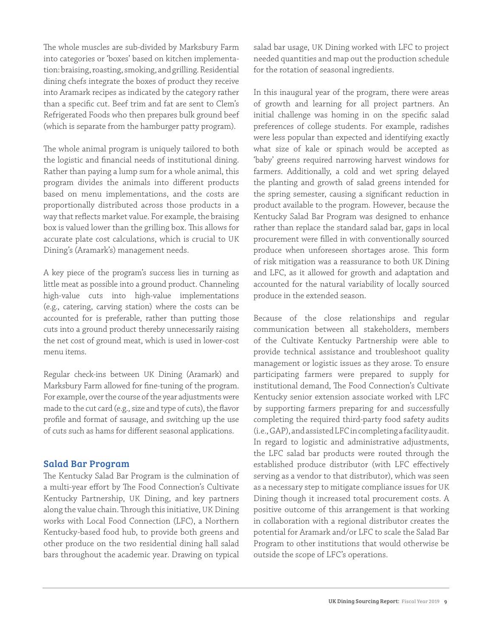The whole muscles are sub-divided by Marksbury Farm into categories or 'boxes' based on kitchen implementation: braising, roasting, smoking, and grilling. Residential dining chefs integrate the boxes of product they receive into Aramark recipes as indicated by the category rather than a specific cut. Beef trim and fat are sent to Clem's Refrigerated Foods who then prepares bulk ground beef (which is separate from the hamburger patty program).

The whole animal program is uniquely tailored to both the logistic and financial needs of institutional dining. Rather than paying a lump sum for a whole animal, this program divides the animals into different products based on menu implementations, and the costs are proportionally distributed across those products in a way that reflects market value. For example, the braising box is valued lower than the grilling box. This allows for accurate plate cost calculations, which is crucial to UK Dining's (Aramark's) management needs.

A key piece of the program's success lies in turning as little meat as possible into a ground product. Channeling high-value cuts into high-value implementations (e.g., catering, carving station) where the costs can be accounted for is preferable, rather than putting those cuts into a ground product thereby unnecessarily raising the net cost of ground meat, which is used in lower-cost menu items.

Regular check-ins between UK Dining (Aramark) and Marksbury Farm allowed for fine-tuning of the program. For example, over the course of the year adjustments were made to the cut card (e.g., size and type of cuts), the flavor profile and format of sausage, and switching up the use of cuts such as hams for different seasonal applications.

## Salad Bar Program

The Kentucky Salad Bar Program is the culmination of a multi-year effort by The Food Connection's Cultivate Kentucky Partnership, UK Dining, and key partners along the value chain. Through this initiative, UK Dining works with Local Food Connection (LFC), a Northern Kentucky-based food hub, to provide both greens and other produce on the two residential dining hall salad bars throughout the academic year. Drawing on typical

salad bar usage, UK Dining worked with LFC to project needed quantities and map out the production schedule for the rotation of seasonal ingredients.

In this inaugural year of the program, there were areas of growth and learning for all project partners. An initial challenge was homing in on the specific salad preferences of college students. For example, radishes were less popular than expected and identifying exactly what size of kale or spinach would be accepted as 'baby' greens required narrowing harvest windows for farmers. Additionally, a cold and wet spring delayed the planting and growth of salad greens intended for the spring semester, causing a significant reduction in product available to the program. However, because the Kentucky Salad Bar Program was designed to enhance rather than replace the standard salad bar, gaps in local procurement were filled in with conventionally sourced produce when unforeseen shortages arose. This form of risk mitigation was a reassurance to both UK Dining and LFC, as it allowed for growth and adaptation and accounted for the natural variability of locally sourced produce in the extended season.

Because of the close relationships and regular communication between all stakeholders, members of the Cultivate Kentucky Partnership were able to provide technical assistance and troubleshoot quality management or logistic issues as they arose. To ensure participating farmers were prepared to supply for institutional demand, The Food Connection's Cultivate Kentucky senior extension associate worked with LFC by supporting farmers preparing for and successfully completing the required third-party food safety audits (i.e., GAP), and assisted LFC in completing a facility audit. In regard to logistic and administrative adjustments, the LFC salad bar products were routed through the established produce distributor (with LFC effectively serving as a vendor to that distributor), which was seen as a necessary step to mitigate compliance issues for UK Dining though it increased total procurement costs. A positive outcome of this arrangement is that working in collaboration with a regional distributor creates the potential for Aramark and/or LFC to scale the Salad Bar Program to other institutions that would otherwise be outside the scope of LFC's operations.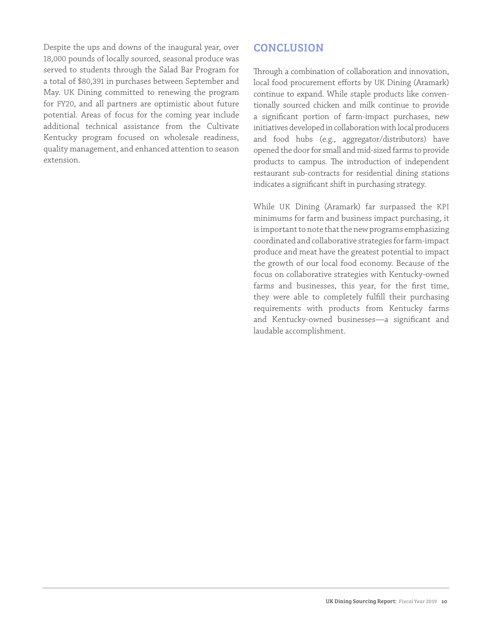<span id="page-9-0"></span>Despite the ups and downs of the inaugural year, over 18,000 pounds of locally sourced, seasonal produce was served to students through the Salad Bar Program for a total of \$80,391 in purchases between September and May. UK Dining committed to renewing the program for FY20, and all partners are optimistic about future potential. Areas of focus for the coming year include additional technical assistance from the Cultivate Kentucky program focused on wholesale readiness, quality management, and enhanced attention to season extension.

## **CONCLUSION**

Through a combination of collaboration and innovation, local food procurement efforts by UK Dining (Aramark) continue to expand. While staple products like conventionally sourced chicken and milk continue to provide a significant portion of farm-impact purchases, new initiatives developed in collaboration with local producers and food hubs (e.g., aggregator/distributors) have opened the door for small and mid-sized farms to provide products to campus. The introduction of independent restaurant sub-contracts for residential dining stations indicates a significant shift in purchasing strategy.

While UK Dining (Aramark) far surpassed the KPI minimums for farm and business impact purchasing, it is important to note that the new programs emphasizing coordinated and collaborative strategies for farm-impact produce and meat have the greatest potential to impact the growth of our local food economy. Because of the focus on collaborative strategies with Kentucky-owned farms and businesses, this year, for the first time, they were able to completely fulfill their purchasing requirements with products from Kentucky farms and Kentucky-owned businesses—a significant and laudable accomplishment.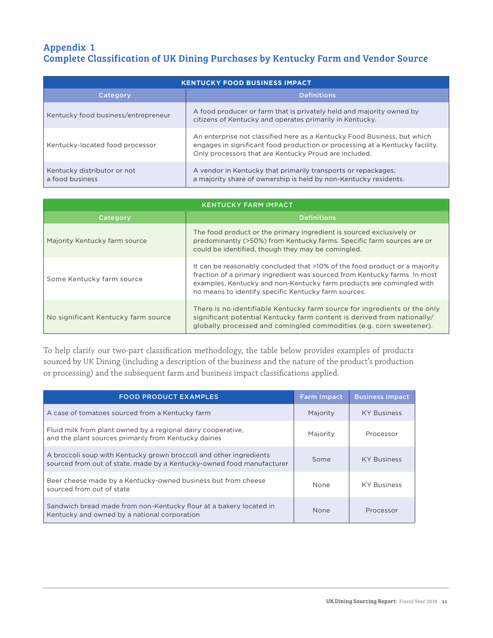## <span id="page-10-0"></span>Appendix 1 Complete Classification of UK Dining Purchases by Kentucky Farm and Vendor Source

| <b>KENTUCKY FOOD BUSINESS IMPACT</b>           |                                                                                                                                                                                                                   |  |  |  |
|------------------------------------------------|-------------------------------------------------------------------------------------------------------------------------------------------------------------------------------------------------------------------|--|--|--|
| <b>Category</b>                                | <b>Definitions</b>                                                                                                                                                                                                |  |  |  |
| Kentucky food business/entrepreneur            | A food producer or farm that is privately held and majority owned by<br>citizens of Kentucky and operates primarily in Kentucky.                                                                                  |  |  |  |
| Kentucky-located food processor                | An enterprise not classified here as a Kentucky Food Business, but which<br>engages in significant food production or processing at a Kentucky facility.<br>Only processors that are Kentucky Proud are included. |  |  |  |
| Kentucky distributor or not<br>a food business | A vendor in Kentucky that primarily transports or repackages;<br>a majority share of ownership is held by non-Kentucky residents.                                                                                 |  |  |  |

| <b>KENTUCKY FARM IMPACT</b>         |                                                                                                                                                                                                                                                                                         |  |  |  |
|-------------------------------------|-----------------------------------------------------------------------------------------------------------------------------------------------------------------------------------------------------------------------------------------------------------------------------------------|--|--|--|
| Category                            | <b>Definitions</b>                                                                                                                                                                                                                                                                      |  |  |  |
| Majority Kentucky farm source       | The food product or the primary ingredient is sourced exclusively or<br>predominantly (>50%) from Kentucky farms. Specific farm sources are or<br>could be identified, though they may be comingled.                                                                                    |  |  |  |
| Some Kentucky farm source           | It can be reasonably concluded that >10% of the food product or a majority<br>fraction of a primary ingredient was sourced from Kentucky farms. In most<br>examples, Kentucky and non-Kentucky farm products are comingled with<br>no means to identify specific Kentucky farm sources. |  |  |  |
| No significant Kentucky farm source | There is no identifiable Kentucky farm source for ingredients or the only<br>significant potential Kentucky farm content is derived from nationally/<br>globally processed and comingled commodities (e.g. corn sweetener).                                                             |  |  |  |

To help clarify our two-part classification methodology, the table below provides examples of products sourced by UK Dining (including a description of the business and the nature of the product's production or processing) and the subsequent farm and business impact classifications applied.

| <b>FOOD PRODUCT EXAMPLES</b>                                                                                                                | <b>Farm Impact</b> | <b>Business Impact</b> |
|---------------------------------------------------------------------------------------------------------------------------------------------|--------------------|------------------------|
| A case of tomatoes sourced from a Kentucky farm                                                                                             | Majority           | <b>KY Business</b>     |
| Fluid milk from plant owned by a regional dairy cooperative,<br>and the plant sources primarily from Kentucky dairies                       | Majority           | Processor              |
| A broccoli soup with Kentucky grown broccoli and other ingredients<br>sourced from out of state, made by a Kentucky-owned food manufacturer | Some               | <b>KY Business</b>     |
| Beer cheese made by a Kentucky-owned business but from cheese<br>sourced from out of state                                                  | <b>None</b>        | <b>KY Business</b>     |
| Sandwich bread made from non-Kentucky flour at a bakery located in<br>Kentucky and owned by a national corporation                          | None               | Processor              |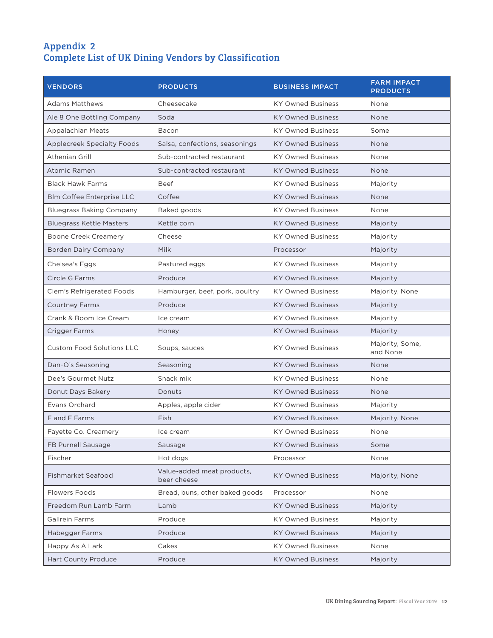## <span id="page-11-0"></span>Appendix 2 Complete List of UK Dining Vendors by Classification

| <b>VENDORS</b>                    | <b>PRODUCTS</b>                           | <b>BUSINESS IMPACT</b>   | <b>FARM IMPACT</b><br><b>PRODUCTS</b> |
|-----------------------------------|-------------------------------------------|--------------------------|---------------------------------------|
| <b>Adams Matthews</b>             | Cheesecake                                | <b>KY Owned Business</b> | None                                  |
| Ale 8 One Bottling Company        | Soda                                      | <b>KY Owned Business</b> | <b>None</b>                           |
| <b>Appalachian Meats</b>          | Bacon                                     | <b>KY Owned Business</b> | Some                                  |
| <b>Applecreek Specialty Foods</b> | Salsa, confections, seasonings            | <b>KY Owned Business</b> | None                                  |
| Athenian Grill                    | Sub-contracted restaurant                 | <b>KY Owned Business</b> | None                                  |
| <b>Atomic Ramen</b>               | Sub-contracted restaurant                 | <b>KY Owned Business</b> | <b>None</b>                           |
| <b>Black Hawk Farms</b>           | Beef                                      | <b>KY Owned Business</b> | Majority                              |
| <b>Blm Coffee Enterprise LLC</b>  | Coffee                                    | <b>KY Owned Business</b> | None                                  |
| <b>Bluegrass Baking Company</b>   | Baked goods                               | <b>KY Owned Business</b> | None                                  |
| <b>Bluegrass Kettle Masters</b>   | Kettle corn                               | <b>KY Owned Business</b> | Majority                              |
| <b>Boone Creek Creamery</b>       | Cheese                                    | <b>KY Owned Business</b> | Majority                              |
| <b>Borden Dairy Company</b>       | Milk                                      | Processor                | Majority                              |
| Chelsea's Eggs                    | Pastured eggs                             | <b>KY Owned Business</b> | Majority                              |
| Circle G Farms                    | Produce                                   | <b>KY Owned Business</b> | Majority                              |
| Clem's Refrigerated Foods         | Hamburger, beef, pork, poultry            | <b>KY Owned Business</b> | Majority, None                        |
| <b>Courtney Farms</b>             | Produce                                   | <b>KY Owned Business</b> | Majority                              |
| Crank & Boom Ice Cream            | Ice cream                                 | <b>KY Owned Business</b> | Majority                              |
| <b>Crigger Farms</b>              | Honey                                     | <b>KY Owned Business</b> | Majority                              |
| <b>Custom Food Solutions LLC</b>  | Soups, sauces                             | <b>KY Owned Business</b> | Majority, Some,<br>and None           |
| Dan-O's Seasoning                 | Seasoning                                 | <b>KY Owned Business</b> | None                                  |
| Dee's Gourmet Nutz                | Snack mix                                 | <b>KY Owned Business</b> | None                                  |
| Donut Days Bakery                 | Donuts                                    | <b>KY Owned Business</b> | None                                  |
| Evans Orchard                     | Apples, apple cider                       | <b>KY Owned Business</b> | Majority                              |
| F and F Farms                     | Fish                                      | <b>KY Owned Business</b> | Majority, None                        |
| Fayette Co. Creamery              | Ice cream                                 | <b>KY Owned Business</b> | None                                  |
| FB Purnell Sausage                | Sausage                                   | <b>KY Owned Business</b> | Some                                  |
| Fischer                           | Hot dogs                                  | Processor                | None                                  |
| Fishmarket Seafood                | Value-added meat products,<br>beer cheese | <b>KY Owned Business</b> | Majority, None                        |
| <b>Flowers Foods</b>              | Bread, buns, other baked goods            | Processor                | None                                  |
| Freedom Run Lamb Farm             | Lamb                                      | <b>KY Owned Business</b> | Majority                              |
| <b>Gallrein Farms</b>             | Produce                                   | <b>KY Owned Business</b> | Majority                              |
| Habegger Farms                    | Produce                                   | <b>KY Owned Business</b> | Majority                              |
| Happy As A Lark                   | Cakes                                     | <b>KY Owned Business</b> | None                                  |
| <b>Hart County Produce</b>        | Produce                                   | <b>KY Owned Business</b> | Majority                              |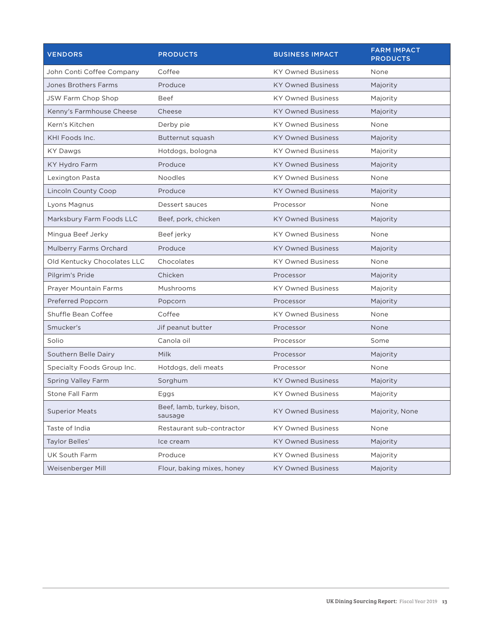| <b>VENDORS</b>              | <b>PRODUCTS</b>                       | <b>BUSINESS IMPACT</b>   | <b>FARM IMPACT</b><br><b>PRODUCTS</b> |
|-----------------------------|---------------------------------------|--------------------------|---------------------------------------|
| John Conti Coffee Company   | Coffee                                | <b>KY Owned Business</b> | None                                  |
| <b>Jones Brothers Farms</b> | Produce                               | <b>KY Owned Business</b> | Majority                              |
| JSW Farm Chop Shop          | <b>Beef</b>                           | <b>KY Owned Business</b> | Majority                              |
| Kenny's Farmhouse Cheese    | Cheese                                | <b>KY Owned Business</b> | Majority                              |
| Kern's Kitchen              | Derby pie                             | <b>KY Owned Business</b> | None                                  |
| KHI Foods Inc.              | Butternut squash                      | <b>KY Owned Business</b> | Majority                              |
| KY Dawgs                    | Hotdogs, bologna                      | <b>KY Owned Business</b> | Majority                              |
| KY Hydro Farm               | Produce                               | <b>KY Owned Business</b> | Majority                              |
| Lexington Pasta             | <b>Noodles</b>                        | <b>KY Owned Business</b> | None                                  |
| <b>Lincoln County Coop</b>  | Produce                               | <b>KY Owned Business</b> | Majority                              |
| Lyons Magnus                | Dessert sauces                        | Processor                | None                                  |
| Marksbury Farm Foods LLC    | Beef, pork, chicken                   | <b>KY Owned Business</b> | Majority                              |
| Mingua Beef Jerky           | Beef jerky                            | <b>KY Owned Business</b> | None                                  |
| Mulberry Farms Orchard      | Produce                               | <b>KY Owned Business</b> | Majority                              |
| Old Kentucky Chocolates LLC | Chocolates                            | <b>KY Owned Business</b> | None                                  |
| Pilgrim's Pride             | Chicken                               | Processor                | Majority                              |
| Prayer Mountain Farms       | Mushrooms                             | <b>KY Owned Business</b> | Majority                              |
| Preferred Popcorn           | Popcorn                               | Processor                | Majority                              |
| Shuffle Bean Coffee         | Coffee                                | <b>KY Owned Business</b> | None                                  |
| Smucker's                   | Jif peanut butter                     | Processor                | None                                  |
| Solio                       | Canola oil                            | Processor                | Some                                  |
| Southern Belle Dairy        | Milk                                  | Processor                | Majority                              |
| Specialty Foods Group Inc.  | Hotdogs, deli meats                   | Processor                | None                                  |
| <b>Spring Valley Farm</b>   | Sorghum                               | <b>KY Owned Business</b> | Majority                              |
| <b>Stone Fall Farm</b>      | Eggs                                  | <b>KY Owned Business</b> | Majority                              |
| <b>Superior Meats</b>       | Beef, lamb, turkey, bison,<br>sausage | <b>KY Owned Business</b> | Majority, None                        |
| Taste of India              | Restaurant sub-contractor             | <b>KY Owned Business</b> | None                                  |
| Taylor Belles'              | Ice cream                             | <b>KY Owned Business</b> | Majority                              |
| UK South Farm               | Produce                               | <b>KY Owned Business</b> | Majority                              |
| Weisenberger Mill           | Flour, baking mixes, honey            | <b>KY Owned Business</b> | Majority                              |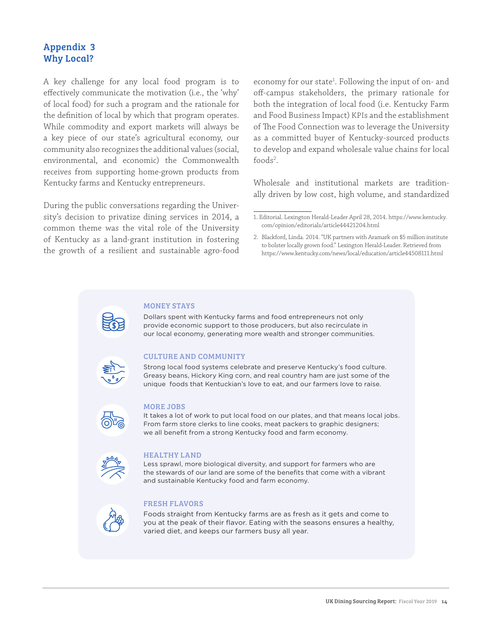## <span id="page-13-0"></span>Appendix 3 Why Local?

A key challenge for any local food program is to effectively communicate the motivation (i.e., the 'why' of local food) for such a program and the rationale for the definition of local by which that program operates. While commodity and export markets will always be a key piece of our state's agricultural economy, our community also recognizes the additional values (social, environmental, and economic) the Commonwealth receives from supporting home-grown products from Kentucky farms and Kentucky entrepreneurs.

During the public conversations regarding the University's decision to privatize dining services in 2014, a common theme was the vital role of the University of Kentucky as a land-grant institution in fostering the growth of a resilient and sustainable agro-food

economy for our state<sup>1</sup>. Following the input of on- and off-campus stakeholders, the primary rationale for both the integration of local food (i.e. Kentucky Farm and Food Business Impact) KPIs and the establishment of The Food Connection was to leverage the University as a committed buyer of Kentucky-sourced products to develop and expand wholesale value chains for local foods<sup>2</sup>.

Wholesale and institutional markets are traditionally driven by low cost, high volume, and standardized

#### MONEY STAYS

Dollars spent with Kentucky farms and food entrepreneurs not only provide economic support to those producers, but also recirculate in our local economy, generating more wealth and stronger communities.

### CULTURE AND COMMUNITY

Strong local food systems celebrate and preserve Kentucky's food culture. Greasy beans, Hickory King corn, and real country ham are just some of the unique foods that Kentuckian's love to eat, and our farmers love to raise.



#### MORE JOBS

It takes a lot of work to put local food on our plates, and that means local jobs. From farm store clerks to line cooks, meat packers to graphic designers; we all benefit from a strong Kentucky food and farm economy.



#### HEALTHY LAND

Less sprawl, more biological diversity, and support for farmers who are the stewards of our land are some of the benefits that come with a vibrant and sustainable Kentucky food and farm economy.

#### FRESH FLAVORS

Foods straight from Kentucky farms are as fresh as it gets and come to you at the peak of their flavor. Eating with the seasons ensures a healthy, varied diet, and keeps our farmers busy all year.

<sup>1.</sup> Editorial. Lexington Herald-Leader April 28, 2014. https://www.kentucky. com/opinion/editorials/article44421204.html

<sup>2.</sup> Blackford, Linda. 2014. "UK partners with Aramark on \$5 million institute to bolster locally grown food." Lexington Herald-Leader. Retrieved from https://www.kentucky.com/news/local/education/article44508111.html